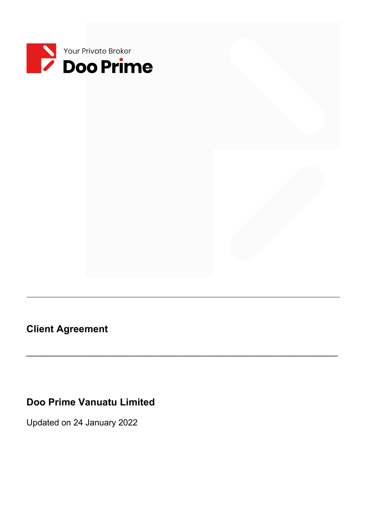

**Client Agreement**

# **Doo Prime Vanuatu Limited**

\_\_\_\_\_\_\_\_\_\_\_\_\_\_\_\_\_\_\_\_\_\_\_\_\_\_\_\_\_\_\_\_\_\_\_\_\_\_\_\_\_\_\_\_\_\_\_\_\_\_\_\_\_\_\_\_\_\_\_\_\_\_\_\_\_

Updated on 24 January 2022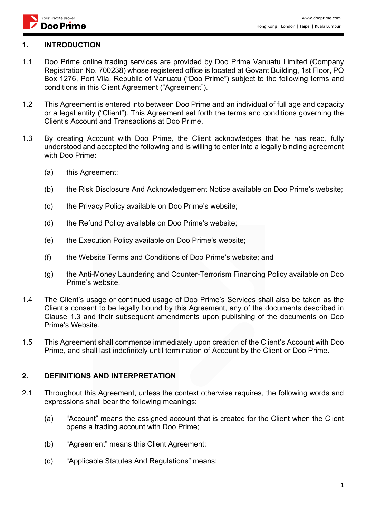

#### **1. INTRODUCTION**

- 1.1 Doo Prime online trading services are provided by Doo Prime Vanuatu Limited (Company Registration No. 700238) whose registered office is located at Govant Building, 1st Floor, PO Box 1276, Port Vila, Republic of Vanuatu ("Doo Prime") subject to the following terms and conditions in this Client Agreement ("Agreement").
- 1.2 This Agreement is entered into between Doo Prime and an individual of full age and capacity or a legal entity ("Client"). This Agreement set forth the terms and conditions governing the Client's Account and Transactions at Doo Prime.
- 1.3 By creating Account with Doo Prime, the Client acknowledges that he has read, fully understood and accepted the following and is willing to enter into a legally binding agreement with Doo Prime:
	- (a) this Agreement;
	- (b) the Risk Disclosure And Acknowledgement Notice available on Doo Prime's website;
	- (c) the Privacy Policy available on Doo Prime's website;
	- (d) the Refund Policy available on Doo Prime's website;
	- (e) the Execution Policy available on Doo Prime's website;
	- (f) the Website Terms and Conditions of Doo Prime's website; and
	- (g) the Anti-Money Laundering and Counter-Terrorism Financing Policy available on Doo Prime's website.
- 1.4 The Client's usage or continued usage of Doo Prime's Services shall also be taken as the Client's consent to be legally bound by this Agreement, any of the documents described in Clause 1.3 and their subsequent amendments upon publishing of the documents on Doo Prime's Website.
- 1.5 This Agreement shall commence immediately upon creation of the Client's Account with Doo Prime, and shall last indefinitely until termination of Account by the Client or Doo Prime.

### **2. DEFINITIONS AND INTERPRETATION**

- 2.1 Throughout this Agreement, unless the context otherwise requires, the following words and expressions shall bear the following meanings:
	- (a) "Account" means the assigned account that is created for the Client when the Client opens a trading account with Doo Prime;
	- (b) "Agreement" means this Client Agreement;
	- (c) "Applicable Statutes And Regulations" means: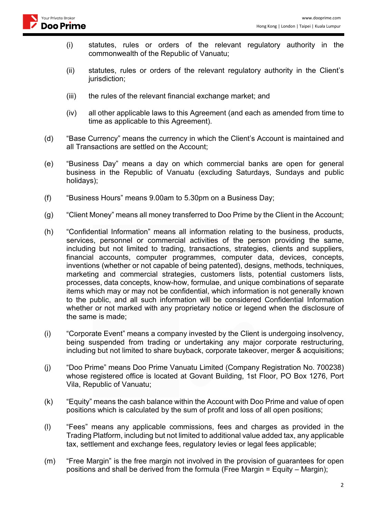

- (i) statutes, rules or orders of the relevant regulatory authority in the commonwealth of the Republic of Vanuatu;
- (ii) statutes, rules or orders of the relevant regulatory authority in the Client's jurisdiction;
- (iii) the rules of the relevant financial exchange market; and
- (iv) all other applicable laws to this Agreement (and each as amended from time to time as applicable to this Agreement).
- (d) "Base Currency" means the currency in which the Client's Account is maintained and all Transactions are settled on the Account;
- (e) "Business Day" means a day on which commercial banks are open for general business in the Republic of Vanuatu (excluding Saturdays, Sundays and public holidays);
- (f) "Business Hours" means 9.00am to 5.30pm on a Business Day;
- (g) "Client Money" means all money transferred to Doo Prime by the Client in the Account;
- (h) "Confidential Information" means all information relating to the business, products, services, personnel or commercial activities of the person providing the same, including but not limited to trading, transactions, strategies, clients and suppliers, financial accounts, computer programmes, computer data, devices, concepts, inventions (whether or not capable of being patented), designs, methods, techniques, marketing and commercial strategies, customers lists, potential customers lists, processes, data concepts, know-how, formulae, and unique combinations of separate items which may or may not be confidential, which information is not generally known to the public, and all such information will be considered Confidential Information whether or not marked with any proprietary notice or legend when the disclosure of the same is made;
- (i) "Corporate Event" means a company invested by the Client is undergoing insolvency, being suspended from trading or undertaking any major corporate restructuring, including but not limited to share buyback, corporate takeover, merger & acquisitions;
- (j) "Doo Prime" means Doo Prime Vanuatu Limited (Company Registration No. 700238) whose registered office is located at Govant Building, 1st Floor, PO Box 1276, Port Vila, Republic of Vanuatu;
- (k) "Equity" means the cash balance within the Account with Doo Prime and value of open positions which is calculated by the sum of profit and loss of all open positions;
- (l) "Fees" means any applicable commissions, fees and charges as provided in the Trading Platform, including but not limited to additional value added tax, any applicable tax, settlement and exchange fees, regulatory levies or legal fees applicable;
- (m) "Free Margin" is the free margin not involved in the provision of guarantees for open positions and shall be derived from the formula (Free Margin  $=$  Equity – Margin);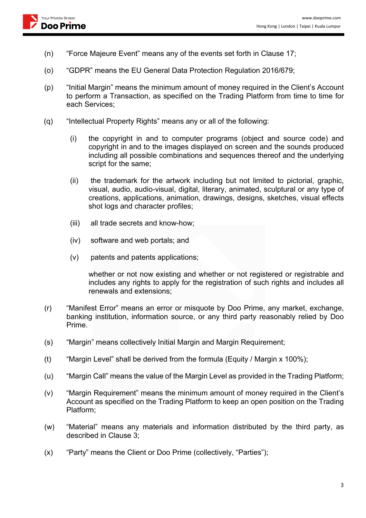- (n) "Force Majeure Event" means any of the events set forth in Clause 17;
- (o) "GDPR" means the EU General Data Protection Regulation 2016/679;
- (p) "Initial Margin" means the minimum amount of money required in the Client's Account to perform a Transaction, as specified on the Trading Platform from time to time for each Services;
- (q) "Intellectual Property Rights" means any or all of the following:
	- (i) the copyright in and to computer programs (object and source code) and copyright in and to the images displayed on screen and the sounds produced including all possible combinations and sequences thereof and the underlying script for the same;
	- (ii) the trademark for the artwork including but not limited to pictorial, graphic, visual, audio, audio-visual, digital, literary, animated, sculptural or any type of creations, applications, animation, drawings, designs, sketches, visual effects shot logs and character profiles;
	- (iii) all trade secrets and know-how;
	- (iv) software and web portals; and
	- (v) patents and patents applications;

whether or not now existing and whether or not registered or registrable and includes any rights to apply for the registration of such rights and includes all renewals and extensions;

- (r) "Manifest Error" means an error or misquote by Doo Prime, any market, exchange, banking institution, information source, or any third party reasonably relied by Doo Prime.
- (s) "Margin" means collectively Initial Margin and Margin Requirement;
- (t) "Margin Level" shall be derived from the formula (Equity / Margin x 100%);
- (u) "Margin Call" means the value of the Margin Level as provided in the Trading Platform;
- (v) "Margin Requirement" means the minimum amount of money required in the Client's Account as specified on the Trading Platform to keep an open position on the Trading Platform;
- (w) "Material" means any materials and information distributed by the third party, as described in Clause 3;
- (x) "Party" means the Client or Doo Prime (collectively, "Parties");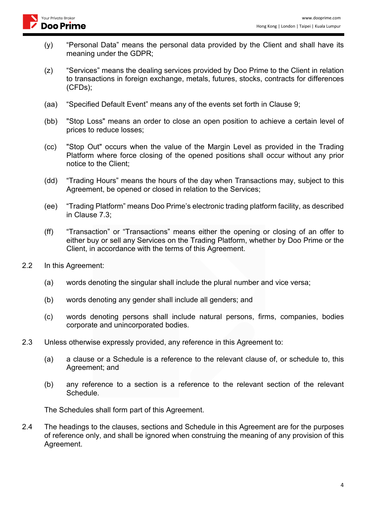

- (y) "Personal Data" means the personal data provided by the Client and shall have its meaning under the GDPR;
- (z) "Services" means the dealing services provided by Doo Prime to the Client in relation to transactions in foreign exchange, metals, futures, stocks, contracts for differences (CFDs);
- (aa) "Specified Default Event" means any of the events set forth in Clause 9;
- (bb) "Stop Loss" means an order to close an open position to achieve a certain level of prices to reduce losses;
- (cc) "Stop Out" occurs when the value of the Margin Level as provided in the Trading Platform where force closing of the opened positions shall occur without any prior notice to the Client;
- (dd) "Trading Hours" means the hours of the day when Transactions may, subject to this Agreement, be opened or closed in relation to the Services;
- (ee) "Trading Platform" means Doo Prime's electronic trading platform facility, as described in Clause 7.3;
- (ff) "Transaction" or "Transactions" means either the opening or closing of an offer to either buy or sell any Services on the Trading Platform, whether by Doo Prime or the Client, in accordance with the terms of this Agreement.
- 2.2 In this Agreement:
	- (a) words denoting the singular shall include the plural number and vice versa;
	- (b) words denoting any gender shall include all genders; and
	- (c) words denoting persons shall include natural persons, firms, companies, bodies corporate and unincorporated bodies.
- 2.3 Unless otherwise expressly provided, any reference in this Agreement to:
	- (a) a clause or a Schedule is a reference to the relevant clause of, or schedule to, this Agreement; and
	- (b) any reference to a section is a reference to the relevant section of the relevant Schedule.

The Schedules shall form part of this Agreement.

2.4 The headings to the clauses, sections and Schedule in this Agreement are for the purposes of reference only, and shall be ignored when construing the meaning of any provision of this Agreement.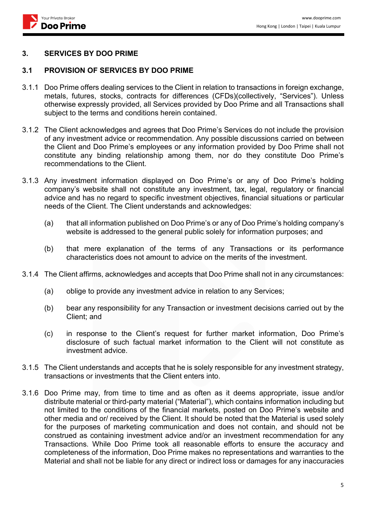

#### **3. SERVICES BY DOO PRIME**

#### **3.1 PROVISION OF SERVICES BY DOO PRIME**

- 3.1.1 Doo Prime offers dealing services to the Client in relation to transactions in foreign exchange, metals, futures, stocks, contracts for differences (CFDs)(collectively, "Services"). Unless otherwise expressly provided, all Services provided by Doo Prime and all Transactions shall subject to the terms and conditions herein contained.
- 3.1.2 The Client acknowledges and agrees that Doo Prime's Services do not include the provision of any investment advice or recommendation. Any possible discussions carried on between the Client and Doo Prime's employees or any information provided by Doo Prime shall not constitute any binding relationship among them, nor do they constitute Doo Prime's recommendations to the Client.
- 3.1.3 Any investment information displayed on Doo Prime's or any of Doo Prime's holding company's website shall not constitute any investment, tax, legal, regulatory or financial advice and has no regard to specific investment objectives, financial situations or particular needs of the Client. The Client understands and acknowledges:
	- (a) that all information published on Doo Prime's or any of Doo Prime's holding company's website is addressed to the general public solely for information purposes; and
	- (b) that mere explanation of the terms of any Transactions or its performance characteristics does not amount to advice on the merits of the investment.
- 3.1.4 The Client affirms, acknowledges and accepts that Doo Prime shall not in any circumstances:
	- (a) oblige to provide any investment advice in relation to any Services;
	- (b) bear any responsibility for any Transaction or investment decisions carried out by the Client; and
	- (c) in response to the Client's request for further market information, Doo Prime's disclosure of such factual market information to the Client will not constitute as investment advice.
- 3.1.5 The Client understands and accepts that he is solely responsible for any investment strategy, transactions or investments that the Client enters into.
- 3.1.6 Doo Prime may, from time to time and as often as it deems appropriate, issue and/or distribute material or third-party material ("Material"), which contains information including but not limited to the conditions of the financial markets, posted on Doo Prime's website and other media and or/ received by the Client. It should be noted that the Material is used solely for the purposes of marketing communication and does not contain, and should not be construed as containing investment advice and/or an investment recommendation for any Transactions. While Doo Prime took all reasonable efforts to ensure the accuracy and completeness of the information, Doo Prime makes no representations and warranties to the Material and shall not be liable for any direct or indirect loss or damages for any inaccuracies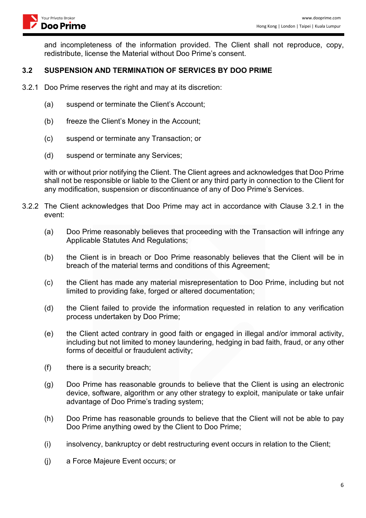and incompleteness of the information provided. The Client shall not reproduce, copy, redistribute, license the Material without Doo Prime's consent.

### **3.2 SUSPENSION AND TERMINATION OF SERVICES BY DOO PRIME**

- 3.2.1 Doo Prime reserves the right and may at its discretion:
	- (a) suspend or terminate the Client's Account;
	- (b) freeze the Client's Money in the Account;
	- (c) suspend or terminate any Transaction; or
	- (d) suspend or terminate any Services;

with or without prior notifying the Client. The Client agrees and acknowledges that Doo Prime shall not be responsible or liable to the Client or any third party in connection to the Client for any modification, suspension or discontinuance of any of Doo Prime's Services.

- 3.2.2 The Client acknowledges that Doo Prime may act in accordance with Clause 3.2.1 in the event:
	- (a) Doo Prime reasonably believes that proceeding with the Transaction will infringe any Applicable Statutes And Regulations;
	- (b) the Client is in breach or Doo Prime reasonably believes that the Client will be in breach of the material terms and conditions of this Agreement;
	- (c) the Client has made any material misrepresentation to Doo Prime, including but not limited to providing fake, forged or altered documentation;
	- (d) the Client failed to provide the information requested in relation to any verification process undertaken by Doo Prime;
	- (e) the Client acted contrary in good faith or engaged in illegal and/or immoral activity, including but not limited to money laundering, hedging in bad faith, fraud, or any other forms of deceitful or fraudulent activity;
	- (f) there is a security breach;
	- (g) Doo Prime has reasonable grounds to believe that the Client is using an electronic device, software, algorithm or any other strategy to exploit, manipulate or take unfair advantage of Doo Prime's trading system;
	- (h) Doo Prime has reasonable grounds to believe that the Client will not be able to pay Doo Prime anything owed by the Client to Doo Prime;
	- (i) insolvency, bankruptcy or debt restructuring event occurs in relation to the Client;
	- (j) a Force Majeure Event occurs; or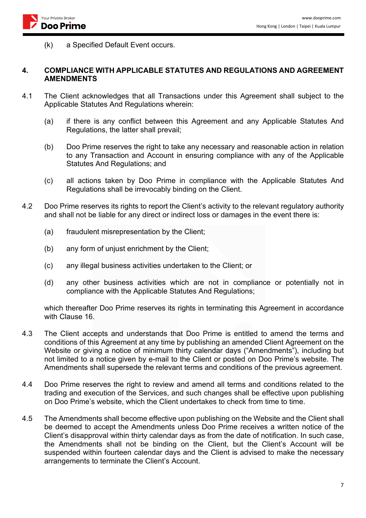(k) a Specified Default Event occurs.

#### **4. COMPLIANCE WITH APPLICABLE STATUTES AND REGULATIONS AND AGREEMENT AMENDMENTS**

- 4.1 The Client acknowledges that all Transactions under this Agreement shall subject to the Applicable Statutes And Regulations wherein:
	- (a) if there is any conflict between this Agreement and any Applicable Statutes And Regulations, the latter shall prevail;
	- (b) Doo Prime reserves the right to take any necessary and reasonable action in relation to any Transaction and Account in ensuring compliance with any of the Applicable Statutes And Regulations; and
	- (c) all actions taken by Doo Prime in compliance with the Applicable Statutes And Regulations shall be irrevocably binding on the Client.
- 4.2 Doo Prime reserves its rights to report the Client's activity to the relevant regulatory authority and shall not be liable for any direct or indirect loss or damages in the event there is:
	- (a) fraudulent misrepresentation by the Client;
	- (b) any form of unjust enrichment by the Client;
	- (c) any illegal business activities undertaken to the Client; or
	- (d) any other business activities which are not in compliance or potentially not in compliance with the Applicable Statutes And Regulations;

which thereafter Doo Prime reserves its rights in terminating this Agreement in accordance with Clause 16.

- 4.3 The Client accepts and understands that Doo Prime is entitled to amend the terms and conditions of this Agreement at any time by publishing an amended Client Agreement on the Website or giving a notice of minimum thirty calendar days ("Amendments"), including but not limited to a notice given by e-mail to the Client or posted on Doo Prime's website. The Amendments shall supersede the relevant terms and conditions of the previous agreement.
- 4.4 Doo Prime reserves the right to review and amend all terms and conditions related to the trading and execution of the Services, and such changes shall be effective upon publishing on Doo Prime's website, which the Client undertakes to check from time to time.
- 4.5 The Amendments shall become effective upon publishing on the Website and the Client shall be deemed to accept the Amendments unless Doo Prime receives a written notice of the Client's disapproval within thirty calendar days as from the date of notification. In such case, the Amendments shall not be binding on the Client, but the Client's Account will be suspended within fourteen calendar days and the Client is advised to make the necessary arrangements to terminate the Client's Account.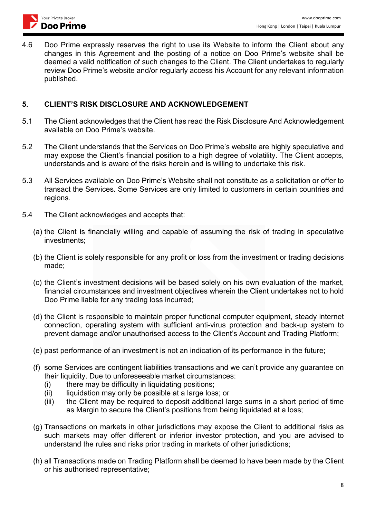

4.6 Doo Prime expressly reserves the right to use its Website to inform the Client about any changes in this Agreement and the posting of a notice on Doo Prime's website shall be deemed a valid notification of such changes to the Client. The Client undertakes to regularly review Doo Prime's website and/or regularly access his Account for any relevant information published.

### **5. CLIENT'S RISK DISCLOSURE AND ACKNOWLEDGEMENT**

- 5.1 The Client acknowledges that the Client has read the Risk Disclosure And Acknowledgement available on Doo Prime's website.
- 5.2 The Client understands that the Services on Doo Prime's website are highly speculative and may expose the Client's financial position to a high degree of volatility. The Client accepts, understands and is aware of the risks herein and is willing to undertake this risk.
- 5.3 All Services available on Doo Prime's Website shall not constitute as a solicitation or offer to transact the Services. Some Services are only limited to customers in certain countries and regions.
- 5.4 The Client acknowledges and accepts that:
	- (a) the Client is financially willing and capable of assuming the risk of trading in speculative investments;
	- (b) the Client is solely responsible for any profit or loss from the investment or trading decisions made;
	- (c) the Client's investment decisions will be based solely on his own evaluation of the market, financial circumstances and investment objectives wherein the Client undertakes not to hold Doo Prime liable for any trading loss incurred;
	- (d) the Client is responsible to maintain proper functional computer equipment, steady internet connection, operating system with sufficient anti-virus protection and back-up system to prevent damage and/or unauthorised access to the Client's Account and Trading Platform;
	- (e) past performance of an investment is not an indication of its performance in the future;
	- (f) some Services are contingent liabilities transactions and we can't provide any guarantee on their liquidity. Due to unforeseeable market circumstances:
		- (i) there may be difficulty in liquidating positions;<br>(ii) liquidation may only be possible at a large los
		- liquidation may only be possible at a large loss; or
		- (iii) the Client may be required to deposit additional large sums in a short period of time as Margin to secure the Client's positions from being liquidated at a loss;
	- (g) Transactions on markets in other jurisdictions may expose the Client to additional risks as such markets may offer different or inferior investor protection, and you are advised to understand the rules and risks prior trading in markets of other jurisdictions;
	- (h) all Transactions made on Trading Platform shall be deemed to have been made by the Client or his authorised representative;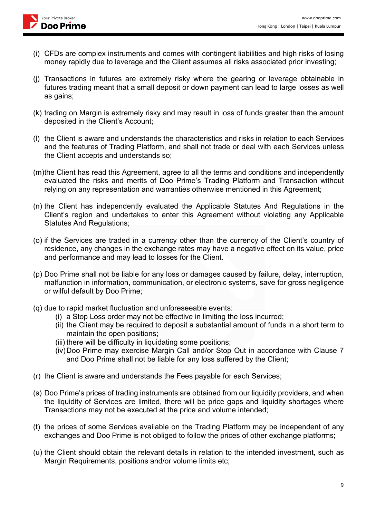

- (i) CFDs are complex instruments and comes with contingent liabilities and high risks of losing money rapidly due to leverage and the Client assumes all risks associated prior investing;
- (j) Transactions in futures are extremely risky where the gearing or leverage obtainable in futures trading meant that a small deposit or down payment can lead to large losses as well as gains;
- (k) trading on Margin is extremely risky and may result in loss of funds greater than the amount deposited in the Client's Account;
- (l) the Client is aware and understands the characteristics and risks in relation to each Services and the features of Trading Platform, and shall not trade or deal with each Services unless the Client accepts and understands so;
- (m)the Client has read this Agreement, agree to all the terms and conditions and independently evaluated the risks and merits of Doo Prime's Trading Platform and Transaction without relying on any representation and warranties otherwise mentioned in this Agreement;
- (n) the Client has independently evaluated the Applicable Statutes And Regulations in the Client's region and undertakes to enter this Agreement without violating any Applicable Statutes And Regulations;
- (o) if the Services are traded in a currency other than the currency of the Client's country of residence, any changes in the exchange rates may have a negative effect on its value, price and performance and may lead to losses for the Client.
- (p) Doo Prime shall not be liable for any loss or damages caused by failure, delay, interruption, malfunction in information, communication, or electronic systems, save for gross negligence or wilful default by Doo Prime;
- (q) due to rapid market fluctuation and unforeseeable events:
	- (i) a Stop Loss order may not be effective in limiting the loss incurred;
	- (ii) the Client may be required to deposit a substantial amount of funds in a short term to maintain the open positions;
	- (iii) there will be difficulty in liquidating some positions;
	- (iv)Doo Prime may exercise Margin Call and/or Stop Out in accordance with Clause 7 and Doo Prime shall not be liable for any loss suffered by the Client;
- (r) the Client is aware and understands the Fees payable for each Services;
- (s) Doo Prime's prices of trading instruments are obtained from our liquidity providers, and when the liquidity of Services are limited, there will be price gaps and liquidity shortages where Transactions may not be executed at the price and volume intended;
- (t) the prices of some Services available on the Trading Platform may be independent of any exchanges and Doo Prime is not obliged to follow the prices of other exchange platforms;
- (u) the Client should obtain the relevant details in relation to the intended investment, such as Margin Requirements, positions and/or volume limits etc;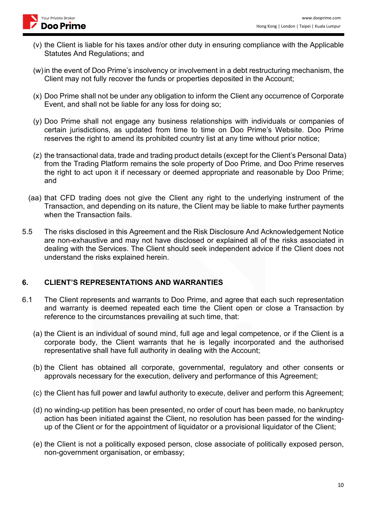

- (v) the Client is liable for his taxes and/or other duty in ensuring compliance with the Applicable Statutes And Regulations; and
- (w)in the event of Doo Prime's insolvency or involvement in a debt restructuring mechanism, the Client may not fully recover the funds or properties deposited in the Account;
- (x) Doo Prime shall not be under any obligation to inform the Client any occurrence of Corporate Event, and shall not be liable for any loss for doing so;
- (y) Doo Prime shall not engage any business relationships with individuals or companies of certain jurisdictions, as updated from time to time on Doo Prime's Website. Doo Prime reserves the right to amend its prohibited country list at any time without prior notice;
- (z) the transactional data, trade and trading product details (except for the Client's Personal Data) from the Trading Platform remains the sole property of Doo Prime, and Doo Prime reserves the right to act upon it if necessary or deemed appropriate and reasonable by Doo Prime; and
- (aa) that CFD trading does not give the Client any right to the underlying instrument of the Transaction, and depending on its nature, the Client may be liable to make further payments when the Transaction fails.
- 5.5 The risks disclosed in this Agreement and the Risk Disclosure And Acknowledgement Notice are non-exhaustive and may not have disclosed or explained all of the risks associated in dealing with the Services. The Client should seek independent advice if the Client does not understand the risks explained herein.

### **6. CLIENT'S REPRESENTATIONS AND WARRANTIES**

- 6.1 The Client represents and warrants to Doo Prime, and agree that each such representation and warranty is deemed repeated each time the Client open or close a Transaction by reference to the circumstances prevailing at such time, that:
	- (a) the Client is an individual of sound mind, full age and legal competence, or if the Client is a corporate body, the Client warrants that he is legally incorporated and the authorised representative shall have full authority in dealing with the Account;
	- (b) the Client has obtained all corporate, governmental, regulatory and other consents or approvals necessary for the execution, delivery and performance of this Agreement;
	- (c) the Client has full power and lawful authority to execute, deliver and perform this Agreement;
	- (d) no winding-up petition has been presented, no order of court has been made, no bankruptcy action has been initiated against the Client, no resolution has been passed for the windingup of the Client or for the appointment of liquidator or a provisional liquidator of the Client;
	- (e) the Client is not a politically exposed person, close associate of politically exposed person, non-government organisation, or embassy;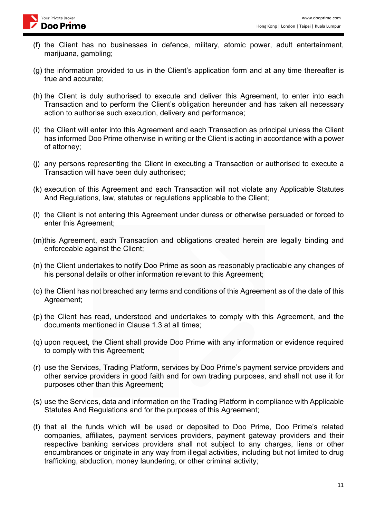

- (f) the Client has no businesses in defence, military, atomic power, adult entertainment, marijuana, gambling;
- (g) the information provided to us in the Client's application form and at any time thereafter is true and accurate;
- (h) the Client is duly authorised to execute and deliver this Agreement, to enter into each Transaction and to perform the Client's obligation hereunder and has taken all necessary action to authorise such execution, delivery and performance;
- (i) the Client will enter into this Agreement and each Transaction as principal unless the Client has informed Doo Prime otherwise in writing or the Client is acting in accordance with a power of attorney;
- (j) any persons representing the Client in executing a Transaction or authorised to execute a Transaction will have been duly authorised;
- (k) execution of this Agreement and each Transaction will not violate any Applicable Statutes And Regulations, law, statutes or regulations applicable to the Client;
- (l) the Client is not entering this Agreement under duress or otherwise persuaded or forced to enter this Agreement;
- (m)this Agreement, each Transaction and obligations created herein are legally binding and enforceable against the Client;
- (n) the Client undertakes to notify Doo Prime as soon as reasonably practicable any changes of his personal details or other information relevant to this Agreement;
- (o) the Client has not breached any terms and conditions of this Agreement as of the date of this Agreement;
- (p) the Client has read, understood and undertakes to comply with this Agreement, and the documents mentioned in Clause 1.3 at all times;
- (q) upon request, the Client shall provide Doo Prime with any information or evidence required to comply with this Agreement;
- (r) use the Services, Trading Platform, services by Doo Prime's payment service providers and other service providers in good faith and for own trading purposes, and shall not use it for purposes other than this Agreement;
- (s) use the Services, data and information on the Trading Platform in compliance with Applicable Statutes And Regulations and for the purposes of this Agreement;
- (t) that all the funds which will be used or deposited to Doo Prime, Doo Prime's related companies, affiliates, payment services providers, payment gateway providers and their respective banking services providers shall not subject to any charges, liens or other encumbrances or originate in any way from illegal activities, including but not limited to drug trafficking, abduction, money laundering, or other criminal activity;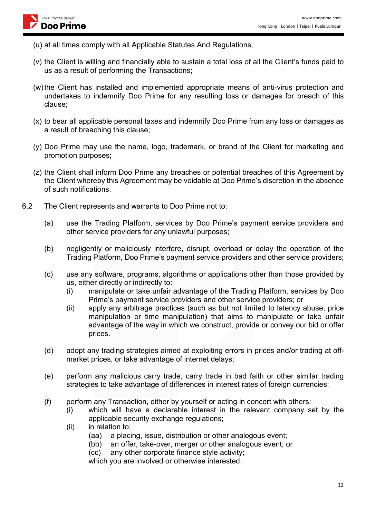

- (u) at all times comply with all Applicable Statutes And Regulations;
- (v) the Client is willing and financially able to sustain a total loss of all the Client's funds paid to us as a result of performing the Transactions;
- (w)the Client has installed and implemented appropriate means of anti-virus protection and undertakes to indemnify Doo Prime for any resulting loss or damages for breach of this clause;
- (x) to bear all applicable personal taxes and indemnify Doo Prime from any loss or damages as a result of breaching this clause;
- (y) Doo Prime may use the name, logo, trademark, or brand of the Client for marketing and promotion purposes;
- (z) the Client shall inform Doo Prime any breaches or potential breaches of this Agreement by the Client whereby this Agreement may be voidable at Doo Prime's discretion in the absence of such notifications.
- 6.2 The Client represents and warrants to Doo Prime not to:
	- (a) use the Trading Platform, services by Doo Prime's payment service providers and other service providers for any unlawful purposes;
	- (b) negligently or maliciously interfere, disrupt, overload or delay the operation of the Trading Platform, Doo Prime's payment service providers and other service providers;
	- (c) use any software, programs, algorithms or applications other than those provided by us, either directly or indirectly to:
		- (i) manipulate or take unfair advantage of the Trading Platform, services by Doo Prime's payment service providers and other service providers; or
		- (ii) apply any arbitrage practices (such as but not limited to latency abuse, price manipulation or time manipulation) that aims to manipulate or take unfair advantage of the way in which we construct, provide or convey our bid or offer prices.
	- (d) adopt any trading strategies aimed at exploiting errors in prices and/or trading at offmarket prices, or take advantage of internet delays;
	- (e) perform any malicious carry trade, carry trade in bad faith or other similar trading strategies to take advantage of differences in interest rates of foreign currencies;
	- (f) perform any Transaction, either by yourself or acting in concert with others:
		- (i) which will have a declarable interest in the relevant company set by the applicable security exchange regulations;
		- (ii) in relation to:
			- (aa) a placing, issue, distribution or other analogous event;
			- (bb) an offer, take-over, merger or other analogous event; or
			- (cc) any other corporate finance style activity;

which you are involved or otherwise interested;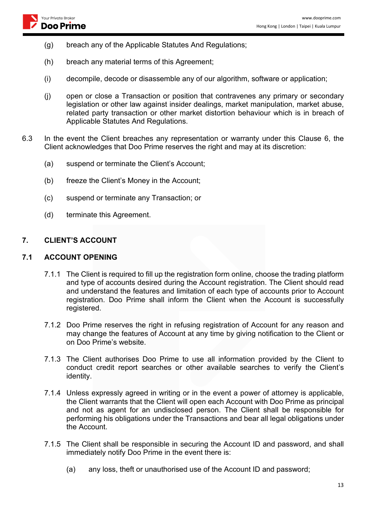- (g) breach any of the Applicable Statutes And Regulations;
- (h) breach any material terms of this Agreement;
- (i) decompile, decode or disassemble any of our algorithm, software or application;
- (j) open or close a Transaction or position that contravenes any primary or secondary legislation or other law against insider dealings, market manipulation, market abuse, related party transaction or other market distortion behaviour which is in breach of Applicable Statutes And Regulations.
- 6.3 In the event the Client breaches any representation or warranty under this Clause 6, the Client acknowledges that Doo Prime reserves the right and may at its discretion:
	- (a) suspend or terminate the Client's Account;
	- (b) freeze the Client's Money in the Account;
	- (c) suspend or terminate any Transaction; or
	- (d) terminate this Agreement.

#### **7. CLIENT'S ACCOUNT**

#### **7.1 ACCOUNT OPENING**

- 7.1.1 The Client is required to fill up the registration form online, choose the trading platform and type of accounts desired during the Account registration. The Client should read and understand the features and limitation of each type of accounts prior to Account registration. Doo Prime shall inform the Client when the Account is successfully registered.
- 7.1.2 Doo Prime reserves the right in refusing registration of Account for any reason and may change the features of Account at any time by giving notification to the Client or on Doo Prime's website.
- 7.1.3 The Client authorises Doo Prime to use all information provided by the Client to conduct credit report searches or other available searches to verify the Client's identity.
- 7.1.4 Unless expressly agreed in writing or in the event a power of attorney is applicable, the Client warrants that the Client will open each Account with Doo Prime as principal and not as agent for an undisclosed person. The Client shall be responsible for performing his obligations under the Transactions and bear all legal obligations under the Account.
- 7.1.5 The Client shall be responsible in securing the Account ID and password, and shall immediately notify Doo Prime in the event there is:
	- (a) any loss, theft or unauthorised use of the Account ID and password;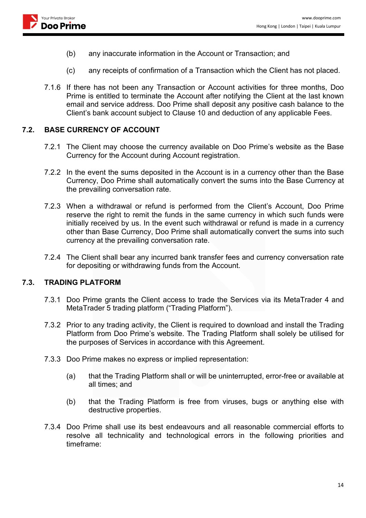

- (b) any inaccurate information in the Account or Transaction; and
- (c) any receipts of confirmation of a Transaction which the Client has not placed.
- 7.1.6 If there has not been any Transaction or Account activities for three months, Doo Prime is entitled to terminate the Account after notifying the Client at the last known email and service address. Doo Prime shall deposit any positive cash balance to the Client's bank account subject to Clause 10 and deduction of any applicable Fees.

#### **7.2. BASE CURRENCY OF ACCOUNT**

- 7.2.1 The Client may choose the currency available on Doo Prime's website as the Base Currency for the Account during Account registration.
- 7.2.2 In the event the sums deposited in the Account is in a currency other than the Base Currency, Doo Prime shall automatically convert the sums into the Base Currency at the prevailing conversation rate.
- 7.2.3 When a withdrawal or refund is performed from the Client's Account, Doo Prime reserve the right to remit the funds in the same currency in which such funds were initially received by us. In the event such withdrawal or refund is made in a currency other than Base Currency, Doo Prime shall automatically convert the sums into such currency at the prevailing conversation rate.
- 7.2.4 The Client shall bear any incurred bank transfer fees and currency conversation rate for depositing or withdrawing funds from the Account.

#### **7.3. TRADING PLATFORM**

- 7.3.1 Doo Prime grants the Client access to trade the Services via its MetaTrader 4 and MetaTrader 5 trading platform ("Trading Platform").
- 7.3.2 Prior to any trading activity, the Client is required to download and install the Trading Platform from Doo Prime's website. The Trading Platform shall solely be utilised for the purposes of Services in accordance with this Agreement.
- 7.3.3 Doo Prime makes no express or implied representation:
	- (a) that the Trading Platform shall or will be uninterrupted, error-free or available at all times; and
	- (b) that the Trading Platform is free from viruses, bugs or anything else with destructive properties.
- 7.3.4 Doo Prime shall use its best endeavours and all reasonable commercial efforts to resolve all technicality and technological errors in the following priorities and timeframe: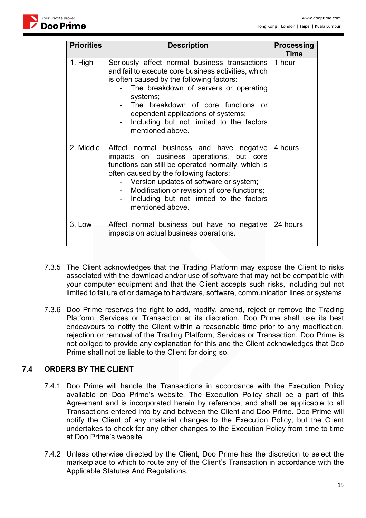

| <b>Priorities</b> | <b>Description</b>                                                                                                                                                                                                                                                                                                                                                             | <b>Processing</b><br><b>Time</b> |
|-------------------|--------------------------------------------------------------------------------------------------------------------------------------------------------------------------------------------------------------------------------------------------------------------------------------------------------------------------------------------------------------------------------|----------------------------------|
| 1. High           | Seriously affect normal business transactions<br>and fail to execute core business activities, which<br>is often caused by the following factors:<br>The breakdown of servers or operating<br>systems;<br>The breakdown of core functions or<br>dependent applications of systems;<br>Including but not limited to the factors<br>$\overline{\phantom{a}}$<br>mentioned above. | 1 hour                           |
| 2. Middle         | Affect normal business and have negative<br>impacts on business operations, but core<br>functions can still be operated normally, which is<br>often caused by the following factors:<br>- Version updates of software or system;<br>Modification or revision of core functions;<br>Including but not limited to the factors<br>mentioned above.                                | 4 hours                          |
| 3. Low            | Affect normal business but have no negative<br>impacts on actual business operations.                                                                                                                                                                                                                                                                                          | 24 hours                         |

- 7.3.5 The Client acknowledges that the Trading Platform may expose the Client to risks associated with the download and/or use of software that may not be compatible with your computer equipment and that the Client accepts such risks, including but not limited to failure of or damage to hardware, software, communication lines or systems.
- 7.3.6 Doo Prime reserves the right to add, modify, amend, reject or remove the Trading Platform, Services or Transaction at its discretion. Doo Prime shall use its best endeavours to notify the Client within a reasonable time prior to any modification, rejection or removal of the Trading Platform, Services or Transaction. Doo Prime is not obliged to provide any explanation for this and the Client acknowledges that Doo Prime shall not be liable to the Client for doing so.

### **7.4 ORDERS BY THE CLIENT**

- 7.4.1 Doo Prime will handle the Transactions in accordance with the Execution Policy available on Doo Prime's website. The Execution Policy shall be a part of this Agreement and is incorporated herein by reference, and shall be applicable to all Transactions entered into by and between the Client and Doo Prime. Doo Prime will notify the Client of any material changes to the Execution Policy, but the Client undertakes to check for any other changes to the Execution Policy from time to time at Doo Prime's website.
- 7.4.2 Unless otherwise directed by the Client, Doo Prime has the discretion to select the marketplace to which to route any of the Client's Transaction in accordance with the Applicable Statutes And Regulations.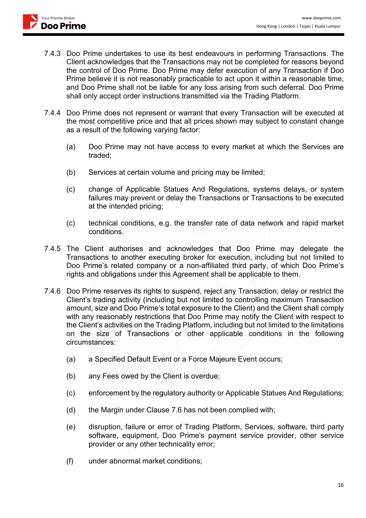- 7.4.3 Doo Prime undertakes to use its best endeavours in performing Transactions. The Client acknowledges that the Transactions may not be completed for reasons beyond the control of Doo Prime. Doo Prime may defer execution of any Transaction if Doo Prime believe it is not reasonably practicable to act upon it within a reasonable time, and Doo Prime shall not be liable for any loss arising from such deferral. Doo Prime shall only accept order instructions transmitted via the Trading Platform.
- 7.4.4 Doo Prime does not represent or warrant that every Transaction will be executed at the most competitive price and that all prices shown may subject to constant change as a result of the following varying factor:
	- (a) Doo Prime may not have access to every market at which the Services are traded;
	- (b) Services at certain volume and pricing may be limited;
	- (c) change of Applicable Statues And Regulations, systems delays, or system failures may prevent or delay the Transactions or Transactions to be executed at the intended pricing;
	- (c) technical conditions, e.g. the transfer rate of data network and rapid market conditions.
- 7.4.5 The Client authorises and acknowledges that Doo Prime may delegate the Transactions to another executing broker for execution, including but not limited to Doo Prime's related company or a non-affiliated third party, of which Doo Prime's rights and obligations under this Agreement shall be applicable to them.
- 7.4.6 Doo Prime reserves its rights to suspend, reject any Transaction, delay or restrict the Client's trading activity (including but not limited to controlling maximum Transaction amount, size and Doo Prime's total exposure to the Client) and the Client shall comply with any reasonably restrictions that Doo Prime may notify the Client with respect to the Client's activities on the Trading Platform, including but not limited to the limitations on the size of Transactions or other applicable conditions in the following circumstances:
	- (a) a Specified Default Event or a Force Majeure Event occurs;
	- (b) any Fees owed by the Client is overdue;
	- (c) enforcement by the regulatory authority or Applicable Statues And Regulations;
	- (d) the Margin under Clause 7.6 has not been complied with;
	- (e) disruption, failure or error of Trading Platform, Services, software, third party software, equipment, Doo Prime's payment service provider, other service provider or any other technicality error;
	- (f) under abnormal market conditions;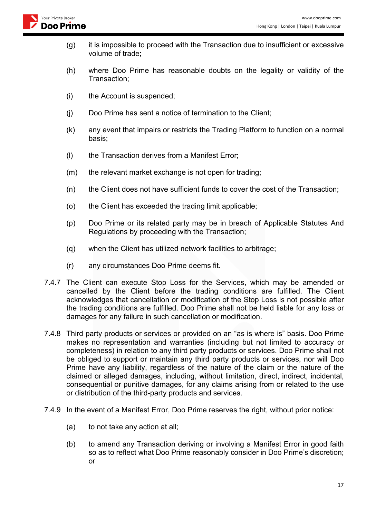

- (g) it is impossible to proceed with the Transaction due to insufficient or excessive volume of trade;
- (h) where Doo Prime has reasonable doubts on the legality or validity of the Transaction;
- (i) the Account is suspended;
- (j) Doo Prime has sent a notice of termination to the Client;
- (k) any event that impairs or restricts the Trading Platform to function on a normal basis;
- (l) the Transaction derives from a Manifest Error;
- (m) the relevant market exchange is not open for trading;
- (n) the Client does not have sufficient funds to cover the cost of the Transaction;
- (o) the Client has exceeded the trading limit applicable;
- (p) Doo Prime or its related party may be in breach of Applicable Statutes And Regulations by proceeding with the Transaction;
- (q) when the Client has utilized network facilities to arbitrage;
- (r) any circumstances Doo Prime deems fit.
- 7.4.7 The Client can execute Stop Loss for the Services, which may be amended or cancelled by the Client before the trading conditions are fulfilled. The Client acknowledges that cancellation or modification of the Stop Loss is not possible after the trading conditions are fulfilled. Doo Prime shall not be held liable for any loss or damages for any failure in such cancellation or modification.
- 7.4.8 Third party products or services or provided on an "as is where is" basis. Doo Prime makes no representation and warranties (including but not limited to accuracy or completeness) in relation to any third party products or services. Doo Prime shall not be obliged to support or maintain any third party products or services, nor will Doo Prime have any liability, regardless of the nature of the claim or the nature of the claimed or alleged damages, including, without limitation, direct, indirect, incidental, consequential or punitive damages, for any claims arising from or related to the use or distribution of the third-party products and services.
- 7.4.9 In the event of a Manifest Error, Doo Prime reserves the right, without prior notice:
	- (a) to not take any action at all;
	- (b) to amend any Transaction deriving or involving a Manifest Error in good faith so as to reflect what Doo Prime reasonably consider in Doo Prime's discretion; or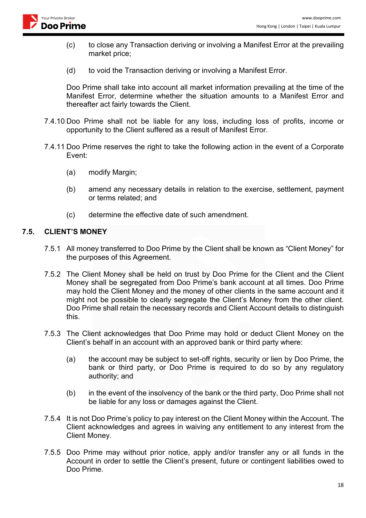

- (c) to close any Transaction deriving or involving a Manifest Error at the prevailing market price;
- (d) to void the Transaction deriving or involving a Manifest Error.

Doo Prime shall take into account all market information prevailing at the time of the Manifest Error, determine whether the situation amounts to a Manifest Error and thereafter act fairly towards the Client.

- 7.4.10 Doo Prime shall not be liable for any loss, including loss of profits, income or opportunity to the Client suffered as a result of Manifest Error.
- 7.4.11 Doo Prime reserves the right to take the following action in the event of a Corporate Event:
	- (a) modify Margin;
	- (b) amend any necessary details in relation to the exercise, settlement, payment or terms related; and
	- (c) determine the effective date of such amendment.

#### **7.5. CLIENT'S MONEY**

- 7.5.1 All money transferred to Doo Prime by the Client shall be known as "Client Money" for the purposes of this Agreement.
- 7.5.2 The Client Money shall be held on trust by Doo Prime for the Client and the Client Money shall be segregated from Doo Prime's bank account at all times. Doo Prime may hold the Client Money and the money of other clients in the same account and it might not be possible to clearly segregate the Client's Money from the other client. Doo Prime shall retain the necessary records and Client Account details to distinguish this.
- 7.5.3 The Client acknowledges that Doo Prime may hold or deduct Client Money on the Client's behalf in an account with an approved bank or third party where:
	- (a) the account may be subject to set-off rights, security or lien by Doo Prime, the bank or third party, or Doo Prime is required to do so by any regulatory authority; and
	- (b) in the event of the insolvency of the bank or the third party, Doo Prime shall not be liable for any loss or damages against the Client.
- 7.5.4 It is not Doo Prime's policy to pay interest on the Client Money within the Account. The Client acknowledges and agrees in waiving any entitlement to any interest from the Client Money.
- 7.5.5 Doo Prime may without prior notice, apply and/or transfer any or all funds in the Account in order to settle the Client's present, future or contingent liabilities owed to Doo Prime.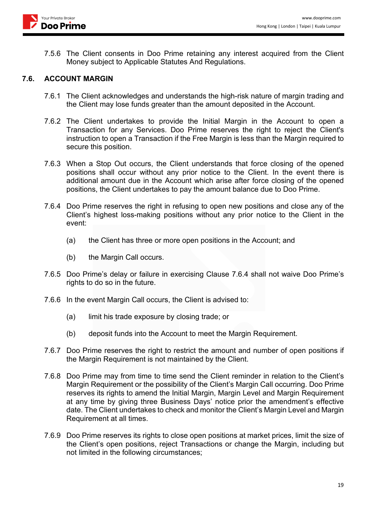7.5.6 The Client consents in Doo Prime retaining any interest acquired from the Client Money subject to Applicable Statutes And Regulations.

#### **7.6. ACCOUNT MARGIN**

- 7.6.1 The Client acknowledges and understands the high-risk nature of margin trading and the Client may lose funds greater than the amount deposited in the Account.
- 7.6.2 The Client undertakes to provide the Initial Margin in the Account to open a Transaction for any Services. Doo Prime reserves the right to reject the Client's instruction to open a Transaction if the Free Margin is less than the Margin required to secure this position.
- 7.6.3 When a Stop Out occurs, the Client understands that force closing of the opened positions shall occur without any prior notice to the Client. In the event there is additional amount due in the Account which arise after force closing of the opened positions, the Client undertakes to pay the amount balance due to Doo Prime.
- 7.6.4 Doo Prime reserves the right in refusing to open new positions and close any of the Client's highest loss-making positions without any prior notice to the Client in the event:
	- (a) the Client has three or more open positions in the Account; and
	- (b) the Margin Call occurs.
- 7.6.5 Doo Prime's delay or failure in exercising Clause 7.6.4 shall not waive Doo Prime's rights to do so in the future.
- 7.6.6 In the event Margin Call occurs, the Client is advised to:
	- (a) limit his trade exposure by closing trade; or
	- (b) deposit funds into the Account to meet the Margin Requirement.
- 7.6.7 Doo Prime reserves the right to restrict the amount and number of open positions if the Margin Requirement is not maintained by the Client.
- 7.6.8 Doo Prime may from time to time send the Client reminder in relation to the Client's Margin Requirement or the possibility of the Client's Margin Call occurring. Doo Prime reserves its rights to amend the Initial Margin, Margin Level and Margin Requirement at any time by giving three Business Days' notice prior the amendment's effective date. The Client undertakes to check and monitor the Client's Margin Level and Margin Requirement at all times.
- 7.6.9 Doo Prime reserves its rights to close open positions at market prices, limit the size of the Client's open positions, reject Transactions or change the Margin, including but not limited in the following circumstances;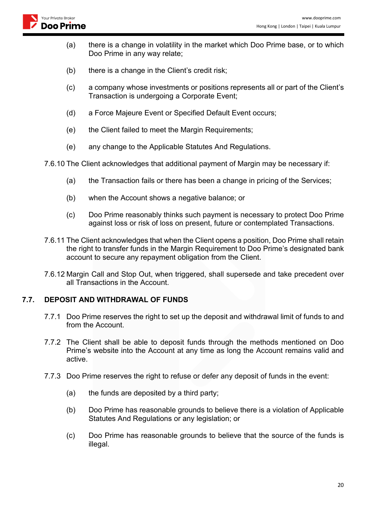- (a) there is a change in volatility in the market which Doo Prime base, or to which Doo Prime in any way relate;
- (b) there is a change in the Client's credit risk;
- (c) a company whose investments or positions represents all or part of the Client's Transaction is undergoing a Corporate Event;
- (d) a Force Majeure Event or Specified Default Event occurs;
- (e) the Client failed to meet the Margin Requirements;
- (e) any change to the Applicable Statutes And Regulations.
- 7.6.10 The Client acknowledges that additional payment of Margin may be necessary if:
	- (a) the Transaction fails or there has been a change in pricing of the Services;
	- (b) when the Account shows a negative balance; or
	- (c) Doo Prime reasonably thinks such payment is necessary to protect Doo Prime against loss or risk of loss on present, future or contemplated Transactions.
- 7.6.11 The Client acknowledges that when the Client opens a position, Doo Prime shall retain the right to transfer funds in the Margin Requirement to Doo Prime's designated bank account to secure any repayment obligation from the Client.
- 7.6.12 Margin Call and Stop Out, when triggered, shall supersede and take precedent over all Transactions in the Account.

#### **7.7. DEPOSIT AND WITHDRAWAL OF FUNDS**

- 7.7.1 Doo Prime reserves the right to set up the deposit and withdrawal limit of funds to and from the Account.
- 7.7.2 The Client shall be able to deposit funds through the methods mentioned on Doo Prime's website into the Account at any time as long the Account remains valid and active.
- 7.7.3 Doo Prime reserves the right to refuse or defer any deposit of funds in the event:
	- (a) the funds are deposited by a third party;
	- (b) Doo Prime has reasonable grounds to believe there is a violation of Applicable Statutes And Regulations or any legislation; or
	- (c) Doo Prime has reasonable grounds to believe that the source of the funds is illegal.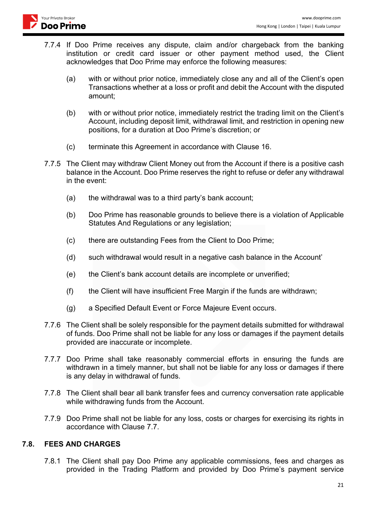- 7.7.4 If Doo Prime receives any dispute, claim and/or chargeback from the banking institution or credit card issuer or other payment method used, the Client acknowledges that Doo Prime may enforce the following measures:
	- (a) with or without prior notice, immediately close any and all of the Client's open Transactions whether at a loss or profit and debit the Account with the disputed amount;
	- (b) with or without prior notice, immediately restrict the trading limit on the Client's Account, including deposit limit, withdrawal limit, and restriction in opening new positions, for a duration at Doo Prime's discretion; or
	- (c) terminate this Agreement in accordance with Clause 16.
- 7.7.5 The Client may withdraw Client Money out from the Account if there is a positive cash balance in the Account. Doo Prime reserves the right to refuse or defer any withdrawal in the event:
	- (a) the withdrawal was to a third party's bank account;
	- (b) Doo Prime has reasonable grounds to believe there is a violation of Applicable Statutes And Regulations or any legislation;
	- (c) there are outstanding Fees from the Client to Doo Prime;
	- (d) such withdrawal would result in a negative cash balance in the Account'
	- (e) the Client's bank account details are incomplete or unverified;
	- (f) the Client will have insufficient Free Margin if the funds are withdrawn;
	- (g) a Specified Default Event or Force Majeure Event occurs.
- 7.7.6 The Client shall be solely responsible for the payment details submitted for withdrawal of funds. Doo Prime shall not be liable for any loss or damages if the payment details provided are inaccurate or incomplete.
- 7.7.7 Doo Prime shall take reasonably commercial efforts in ensuring the funds are withdrawn in a timely manner, but shall not be liable for any loss or damages if there is any delay in withdrawal of funds.
- 7.7.8 The Client shall bear all bank transfer fees and currency conversation rate applicable while withdrawing funds from the Account.
- 7.7.9 Doo Prime shall not be liable for any loss, costs or charges for exercising its rights in accordance with Clause 7.7.

### **7.8. FEES AND CHARGES**

7.8.1 The Client shall pay Doo Prime any applicable commissions, fees and charges as provided in the Trading Platform and provided by Doo Prime's payment service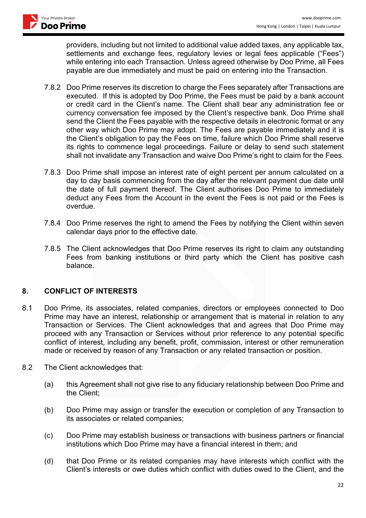

providers, including but not limited to additional value added taxes, any applicable tax, settlements and exchange fees, regulatory levies or legal fees applicable ("Fees") while entering into each Transaction. Unless agreed otherwise by Doo Prime, all Fees payable are due immediately and must be paid on entering into the Transaction.

- 7.8.2 Doo Prime reserves its discretion to charge the Fees separately after Transactions are executed. If this is adopted by Doo Prime, the Fees must be paid by a bank account or credit card in the Client's name. The Client shall bear any administration fee or currency conversation fee imposed by the Client's respective bank. Doo Prime shall send the Client the Fees payable with the respective details in electronic format or any other way which Doo Prime may adopt. The Fees are payable immediately and it is the Client's obligation to pay the Fees on time, failure which Doo Prime shall reserve its rights to commence legal proceedings. Failure or delay to send such statement shall not invalidate any Transaction and waive Doo Prime's right to claim for the Fees.
- 7.8.3 Doo Prime shall impose an interest rate of eight percent per annum calculated on a day to day basis commencing from the day after the relevant payment due date until the date of full payment thereof. The Client authorises Doo Prime to immediately deduct any Fees from the Account in the event the Fees is not paid or the Fees is overdue.
- 7.8.4 Doo Prime reserves the right to amend the Fees by notifying the Client within seven calendar days prior to the effective date.
- 7.8.5 The Client acknowledges that Doo Prime reserves its right to claim any outstanding Fees from banking institutions or third party which the Client has positive cash balance.

### **8. CONFLICT OF INTERESTS**

- 8.1 Doo Prime, its associates, related companies, directors or employees connected to Doo Prime may have an interest, relationship or arrangement that is material in relation to any Transaction or Services. The Client acknowledges that and agrees that Doo Prime may proceed with any Transaction or Services without prior reference to any potential specific conflict of interest, including any benefit, profit, commission, interest or other remuneration made or received by reason of any Transaction or any related transaction or position.
- 8.2 The Client acknowledges that:
	- (a) this Agreement shall not give rise to any fiduciary relationship between Doo Prime and the Client;
	- (b) Doo Prime may assign or transfer the execution or completion of any Transaction to its associates or related companies;
	- (c) Doo Prime may establish business or transactions with business partners or financial institutions which Doo Prime may have a financial interest in them; and
	- (d) that Doo Prime or its related companies may have interests which conflict with the Client's interests or owe duties which conflict with duties owed to the Client, and the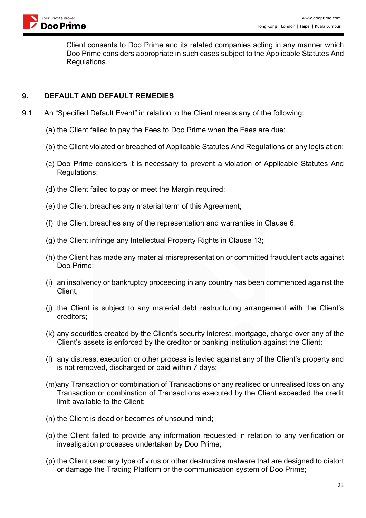Client consents to Doo Prime and its related companies acting in any manner which Doo Prime considers appropriate in such cases subject to the Applicable Statutes And Regulations.

# **9. DEFAULT AND DEFAULT REMEDIES**

- 9.1 An "Specified Default Event" in relation to the Client means any of the following:
	- (a) the Client failed to pay the Fees to Doo Prime when the Fees are due;
	- (b) the Client violated or breached of Applicable Statutes And Regulations or any legislation;
	- (c) Doo Prime considers it is necessary to prevent a violation of Applicable Statutes And Regulations;
	- (d) the Client failed to pay or meet the Margin required;
	- (e) the Client breaches any material term of this Agreement;
	- (f) the Client breaches any of the representation and warranties in Clause 6;
	- (g) the Client infringe any Intellectual Property Rights in Clause 13;
	- (h) the Client has made any material misrepresentation or committed fraudulent acts against Doo Prime;
	- (i) an insolvency or bankruptcy proceeding in any country has been commenced against the Client;
	- (j) the Client is subject to any material debt restructuring arrangement with the Client's creditors;
	- (k) any securities created by the Client's security interest, mortgage, charge over any of the Client's assets is enforced by the creditor or banking institution against the Client;
	- (l) any distress, execution or other process is levied against any of the Client's property and is not removed, discharged or paid within 7 days;
	- (m)any Transaction or combination of Transactions or any realised or unrealised loss on any Transaction or combination of Transactions executed by the Client exceeded the credit limit available to the Client;
	- (n) the Client is dead or becomes of unsound mind;
	- (o) the Client failed to provide any information requested in relation to any verification or investigation processes undertaken by Doo Prime;
	- (p) the Client used any type of virus or other destructive malware that are designed to distort or damage the Trading Platform or the communication system of Doo Prime;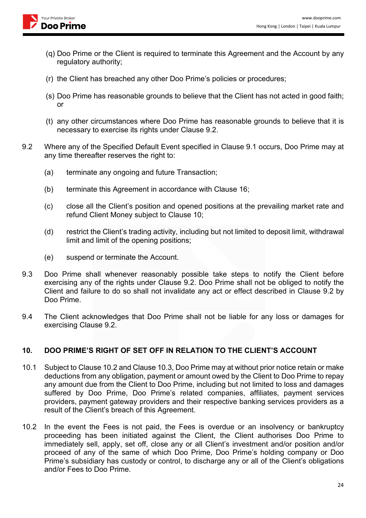

- (q) Doo Prime or the Client is required to terminate this Agreement and the Account by any regulatory authority;
- (r) the Client has breached any other Doo Prime's policies or procedures;
- (s) Doo Prime has reasonable grounds to believe that the Client has not acted in good faith; or
- (t) any other circumstances where Doo Prime has reasonable grounds to believe that it is necessary to exercise its rights under Clause 9.2.
- 9.2 Where any of the Specified Default Event specified in Clause 9.1 occurs, Doo Prime may at any time thereafter reserves the right to:
	- (a) terminate any ongoing and future Transaction;
	- (b) terminate this Agreement in accordance with Clause 16;
	- (c) close all the Client's position and opened positions at the prevailing market rate and refund Client Money subject to Clause 10;
	- (d) restrict the Client's trading activity, including but not limited to deposit limit, withdrawal limit and limit of the opening positions;
	- (e) suspend or terminate the Account.
- 9.3 Doo Prime shall whenever reasonably possible take steps to notify the Client before exercising any of the rights under Clause 9.2. Doo Prime shall not be obliged to notify the Client and failure to do so shall not invalidate any act or effect described in Clause 9.2 by Doo Prime.
- 9.4 The Client acknowledges that Doo Prime shall not be liable for any loss or damages for exercising Clause 9.2.

### **10. DOO PRIME'S RIGHT OF SET OFF IN RELATION TO THE CLIENT'S ACCOUNT**

- 10.1 Subject to Clause 10.2 and Clause 10.3, Doo Prime may at without prior notice retain or make deductions from any obligation, payment or amount owed by the Client to Doo Prime to repay any amount due from the Client to Doo Prime, including but not limited to loss and damages suffered by Doo Prime, Doo Prime's related companies, affiliates, payment services providers, payment gateway providers and their respective banking services providers as a result of the Client's breach of this Agreement.
- 10.2 In the event the Fees is not paid, the Fees is overdue or an insolvency or bankruptcy proceeding has been initiated against the Client, the Client authorises Doo Prime to immediately sell, apply, set off, close any or all Client's investment and/or position and/or proceed of any of the same of which Doo Prime, Doo Prime's holding company or Doo Prime's subsidiary has custody or control, to discharge any or all of the Client's obligations and/or Fees to Doo Prime.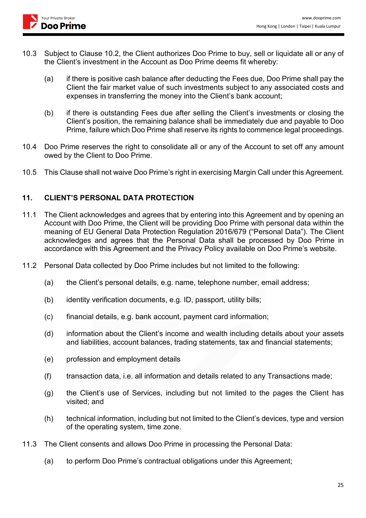- 10.3 Subject to Clause 10.2, the Client authorizes Doo Prime to buy, sell or liquidate all or any of the Client's investment in the Account as Doo Prime deems fit whereby:
	- (a) if there is positive cash balance after deducting the Fees due, Doo Prime shall pay the Client the fair market value of such investments subject to any associated costs and expenses in transferring the money into the Client's bank account;
	- (b) if there is outstanding Fees due after selling the Client's investments or closing the Client's position, the remaining balance shall be immediately due and payable to Doo Prime, failure which Doo Prime shall reserve its rights to commence legal proceedings.
- 10.4 Doo Prime reserves the right to consolidate all or any of the Account to set off any amount owed by the Client to Doo Prime.
- 10.5 This Clause shall not waive Doo Prime's right in exercising Margin Call under this Agreement.

### **11. CLIENT'S PERSONAL DATA PROTECTION**

- 11.1 The Client acknowledges and agrees that by entering into this Agreement and by opening an Account with Doo Prime, the Client will be providing Doo Prime with personal data within the meaning of EU General Data Protection Regulation 2016/679 ("Personal Data"). The Client acknowledges and agrees that the Personal Data shall be processed by Doo Prime in accordance with this Agreement and the Privacy Policy available on Doo Prime's website.
- 11.2 Personal Data collected by Doo Prime includes but not limited to the following:
	- (a) the Client's personal details, e.g. name, telephone number, email address;
	- (b) identity verification documents, e.g. ID, passport, utility bills;
	- (c) financial details, e.g. bank account, payment card information;
	- (d) information about the Client's income and wealth including details about your assets and liabilities, account balances, trading statements, tax and financial statements;
	- (e) profession and employment details
	- (f) transaction data, i.e. all information and details related to any Transactions made;
	- (g) the Client's use of Services, including but not limited to the pages the Client has visited; and
	- (h) technical information, including but not limited to the Client's devices, type and version of the operating system, time zone.
- 11.3 The Client consents and allows Doo Prime in processing the Personal Data:
	- (a) to perform Doo Prime's contractual obligations under this Agreement;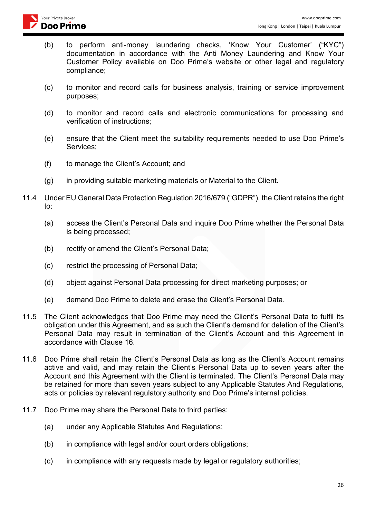- (b) to perform anti-money laundering checks, 'Know Your Customer' ("KYC") documentation in accordance with the Anti Money Laundering and Know Your Customer Policy available on Doo Prime's website or other legal and regulatory compliance;
- (c) to monitor and record calls for business analysis, training or service improvement purposes;
- (d) to monitor and record calls and electronic communications for processing and verification of instructions;
- (e) ensure that the Client meet the suitability requirements needed to use Doo Prime's Services;
- (f) to manage the Client's Account; and
- (g) in providing suitable marketing materials or Material to the Client.
- 11.4 Under EU General Data Protection Regulation 2016/679 ("GDPR"), the Client retains the right to:
	- (a) access the Client's Personal Data and inquire Doo Prime whether the Personal Data is being processed;
	- (b) rectify or amend the Client's Personal Data;
	- (c) restrict the processing of Personal Data;
	- (d) object against Personal Data processing for direct marketing purposes; or
	- (e) demand Doo Prime to delete and erase the Client's Personal Data.
- 11.5 The Client acknowledges that Doo Prime may need the Client's Personal Data to fulfil its obligation under this Agreement, and as such the Client's demand for deletion of the Client's Personal Data may result in termination of the Client's Account and this Agreement in accordance with Clause 16.
- 11.6 Doo Prime shall retain the Client's Personal Data as long as the Client's Account remains active and valid, and may retain the Client's Personal Data up to seven years after the Account and this Agreement with the Client is terminated. The Client's Personal Data may be retained for more than seven years subject to any Applicable Statutes And Regulations, acts or policies by relevant regulatory authority and Doo Prime's internal policies.
- 11.7 Doo Prime may share the Personal Data to third parties:
	- (a) under any Applicable Statutes And Regulations;
	- (b) in compliance with legal and/or court orders obligations;
	- (c) in compliance with any requests made by legal or regulatory authorities;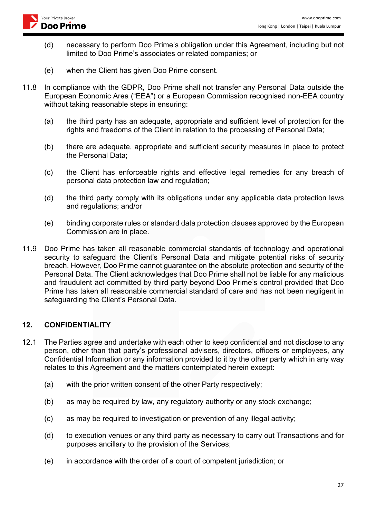- (d) necessary to perform Doo Prime's obligation under this Agreement, including but not limited to Doo Prime's associates or related companies; or
- (e) when the Client has given Doo Prime consent.
- 11.8 In compliance with the GDPR, Doo Prime shall not transfer any Personal Data outside the European Economic Area ("EEA") or a European Commission recognised non-EEA country without taking reasonable steps in ensuring:
	- (a) the third party has an adequate, appropriate and sufficient level of protection for the rights and freedoms of the Client in relation to the processing of Personal Data;
	- (b) there are adequate, appropriate and sufficient security measures in place to protect the Personal Data;
	- (c) the Client has enforceable rights and effective legal remedies for any breach of personal data protection law and regulation;
	- (d) the third party comply with its obligations under any applicable data protection laws and regulations; and/or
	- (e) binding corporate rules or standard data protection clauses approved by the European Commission are in place.
- 11.9 Doo Prime has taken all reasonable commercial standards of technology and operational security to safeguard the Client's Personal Data and mitigate potential risks of security breach. However, Doo Prime cannot guarantee on the absolute protection and security of the Personal Data. The Client acknowledges that Doo Prime shall not be liable for any malicious and fraudulent act committed by third party beyond Doo Prime's control provided that Doo Prime has taken all reasonable commercial standard of care and has not been negligent in safeguarding the Client's Personal Data.

### **12. CONFIDENTIALITY**

- 12.1 The Parties agree and undertake with each other to keep confidential and not disclose to any person, other than that party's professional advisers, directors, officers or employees, any Confidential Information or any information provided to it by the other party which in any way relates to this Agreement and the matters contemplated herein except:
	- (a) with the prior written consent of the other Party respectively;
	- (b) as may be required by law, any regulatory authority or any stock exchange;
	- (c) as may be required to investigation or prevention of any illegal activity;
	- (d) to execution venues or any third party as necessary to carry out Transactions and for purposes ancillary to the provision of the Services;
	- (e) in accordance with the order of a court of competent jurisdiction; or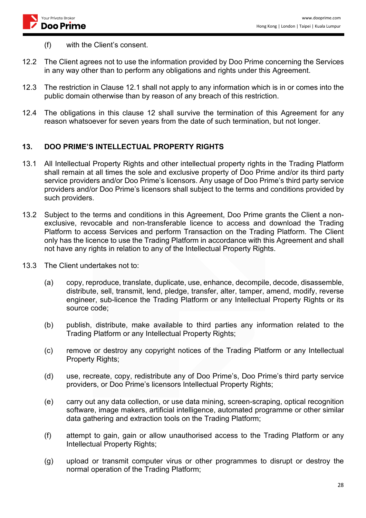

- (f) with the Client's consent.
- 12.2 The Client agrees not to use the information provided by Doo Prime concerning the Services in any way other than to perform any obligations and rights under this Agreement.
- 12.3 The restriction in Clause 12.1 shall not apply to any information which is in or comes into the public domain otherwise than by reason of any breach of this restriction.
- 12.4 The obligations in this clause 12 shall survive the termination of this Agreement for any reason whatsoever for seven years from the date of such termination, but not longer.

## **13. DOO PRIME'S INTELLECTUAL PROPERTY RIGHTS**

- 13.1 All Intellectual Property Rights and other intellectual property rights in the Trading Platform shall remain at all times the sole and exclusive property of Doo Prime and/or its third party service providers and/or Doo Prime's licensors. Any usage of Doo Prime's third party service providers and/or Doo Prime's licensors shall subject to the terms and conditions provided by such providers.
- 13.2 Subject to the terms and conditions in this Agreement, Doo Prime grants the Client a nonexclusive, revocable and non-transferable licence to access and download the Trading Platform to access Services and perform Transaction on the Trading Platform. The Client only has the licence to use the Trading Platform in accordance with this Agreement and shall not have any rights in relation to any of the Intellectual Property Rights.
- 13.3 The Client undertakes not to:
	- (a) copy, reproduce, translate, duplicate, use, enhance, decompile, decode, disassemble, distribute, sell, transmit, lend, pledge, transfer, alter, tamper, amend, modify, reverse engineer, sub-licence the Trading Platform or any Intellectual Property Rights or its source code;
	- (b) publish, distribute, make available to third parties any information related to the Trading Platform or any Intellectual Property Rights;
	- (c) remove or destroy any copyright notices of the Trading Platform or any Intellectual Property Rights;
	- (d) use, recreate, copy, redistribute any of Doo Prime's, Doo Prime's third party service providers, or Doo Prime's licensors Intellectual Property Rights;
	- (e) carry out any data collection, or use data mining, screen-scraping, optical recognition software, image makers, artificial intelligence, automated programme or other similar data gathering and extraction tools on the Trading Platform;
	- (f) attempt to gain, gain or allow unauthorised access to the Trading Platform or any Intellectual Property Rights;
	- (g) upload or transmit computer virus or other programmes to disrupt or destroy the normal operation of the Trading Platform;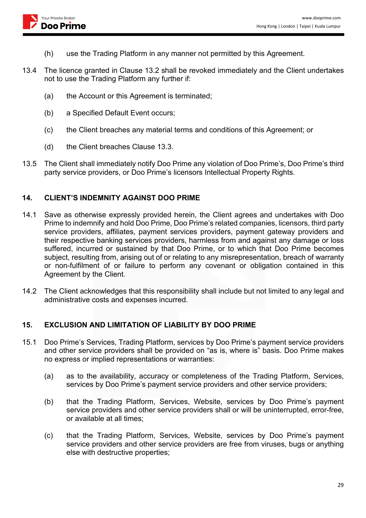

- (h) use the Trading Platform in any manner not permitted by this Agreement.
- 13.4 The licence granted in Clause 13.2 shall be revoked immediately and the Client undertakes not to use the Trading Platform any further if:
	- (a) the Account or this Agreement is terminated;
	- (b) a Specified Default Event occurs;
	- (c) the Client breaches any material terms and conditions of this Agreement; or
	- (d) the Client breaches Clause 13.3.
- 13.5 The Client shall immediately notify Doo Prime any violation of Doo Prime's, Doo Prime's third party service providers, or Doo Prime's licensors Intellectual Property Rights.

# **14. CLIENT'S INDEMNITY AGAINST DOO PRIME**

- 14.1 Save as otherwise expressly provided herein, the Client agrees and undertakes with Doo Prime to indemnify and hold Doo Prime, Doo Prime's related companies, licensors, third party service providers, affiliates, payment services providers, payment gateway providers and their respective banking services providers, harmless from and against any damage or loss suffered, incurred or sustained by that Doo Prime, or to which that Doo Prime becomes subject, resulting from, arising out of or relating to any misrepresentation, breach of warranty or non-fulfilment of or failure to perform any covenant or obligation contained in this Agreement by the Client.
- 14.2 The Client acknowledges that this responsibility shall include but not limited to any legal and administrative costs and expenses incurred.

# **15. EXCLUSION AND LIMITATION OF LIABILITY BY DOO PRIME**

- 15.1 Doo Prime's Services, Trading Platform, services by Doo Prime's payment service providers and other service providers shall be provided on "as is, where is" basis. Doo Prime makes no express or implied representations or warranties:
	- (a) as to the availability, accuracy or completeness of the Trading Platform, Services, services by Doo Prime's payment service providers and other service providers;
	- (b) that the Trading Platform, Services, Website, services by Doo Prime's payment service providers and other service providers shall or will be uninterrupted, error-free, or available at all times;
	- (c) that the Trading Platform, Services, Website, services by Doo Prime's payment service providers and other service providers are free from viruses, bugs or anything else with destructive properties;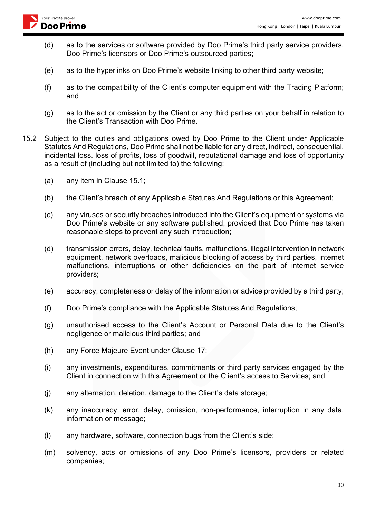

- (d) as to the services or software provided by Doo Prime's third party service providers, Doo Prime's licensors or Doo Prime's outsourced parties;
- (e) as to the hyperlinks on Doo Prime's website linking to other third party website;
- (f) as to the compatibility of the Client's computer equipment with the Trading Platform; and
- (g) as to the act or omission by the Client or any third parties on your behalf in relation to the Client's Transaction with Doo Prime.
- 15.2 Subject to the duties and obligations owed by Doo Prime to the Client under Applicable Statutes And Regulations, Doo Prime shall not be liable for any direct, indirect, consequential, incidental loss. loss of profits, loss of goodwill, reputational damage and loss of opportunity as a result of (including but not limited to) the following:
	- (a) any item in Clause 15.1;
	- (b) the Client's breach of any Applicable Statutes And Regulations or this Agreement;
	- (c) any viruses or security breaches introduced into the Client's equipment or systems via Doo Prime's website or any software published, provided that Doo Prime has taken reasonable steps to prevent any such introduction;
	- (d) transmission errors, delay, technical faults, malfunctions, illegal intervention in network equipment, network overloads, malicious blocking of access by third parties, internet malfunctions, interruptions or other deficiencies on the part of internet service providers;
	- (e) accuracy, completeness or delay of the information or advice provided by a third party;
	- (f) Doo Prime's compliance with the Applicable Statutes And Regulations;
	- (g) unauthorised access to the Client's Account or Personal Data due to the Client's negligence or malicious third parties; and
	- (h) any Force Majeure Event under Clause 17;
	- (i) any investments, expenditures, commitments or third party services engaged by the Client in connection with this Agreement or the Client's access to Services; and
	- (j) any alternation, deletion, damage to the Client's data storage;
	- (k) any inaccuracy, error, delay, omission, non-performance, interruption in any data, information or message;
	- (l) any hardware, software, connection bugs from the Client's side;
	- (m) solvency, acts or omissions of any Doo Prime's licensors, providers or related companies;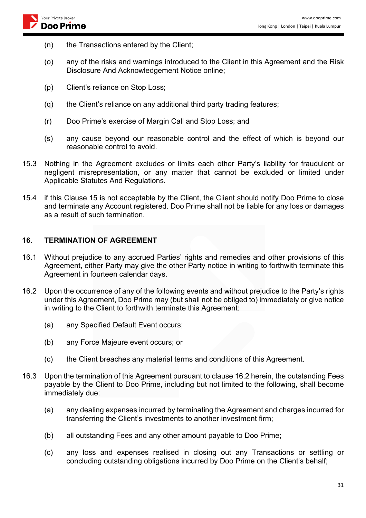- (n) the Transactions entered by the Client;
- (o) any of the risks and warnings introduced to the Client in this Agreement and the Risk Disclosure And Acknowledgement Notice online;
- (p) Client's reliance on Stop Loss;
- (q) the Client's reliance on any additional third party trading features;
- (r) Doo Prime's exercise of Margin Call and Stop Loss; and
- (s) any cause beyond our reasonable control and the effect of which is beyond our reasonable control to avoid.
- 15.3 Nothing in the Agreement excludes or limits each other Party's liability for fraudulent or negligent misrepresentation, or any matter that cannot be excluded or limited under Applicable Statutes And Regulations.
- 15.4 if this Clause 15 is not acceptable by the Client, the Client should notify Doo Prime to close and terminate any Account registered. Doo Prime shall not be liable for any loss or damages as a result of such termination.

### **16. TERMINATION OF AGREEMENT**

- 16.1 Without prejudice to any accrued Parties' rights and remedies and other provisions of this Agreement, either Party may give the other Party notice in writing to forthwith terminate this Agreement in fourteen calendar days.
- 16.2 Upon the occurrence of any of the following events and without prejudice to the Party's rights under this Agreement, Doo Prime may (but shall not be obliged to) immediately or give notice in writing to the Client to forthwith terminate this Agreement:
	- (a) any Specified Default Event occurs;
	- (b) any Force Majeure event occurs; or
	- (c) the Client breaches any material terms and conditions of this Agreement.
- 16.3 Upon the termination of this Agreement pursuant to clause 16.2 herein, the outstanding Fees payable by the Client to Doo Prime, including but not limited to the following, shall become immediately due:
	- (a) any dealing expenses incurred by terminating the Agreement and charges incurred for transferring the Client's investments to another investment firm;
	- (b) all outstanding Fees and any other amount payable to Doo Prime;
	- (c) any loss and expenses realised in closing out any Transactions or settling or concluding outstanding obligations incurred by Doo Prime on the Client's behalf;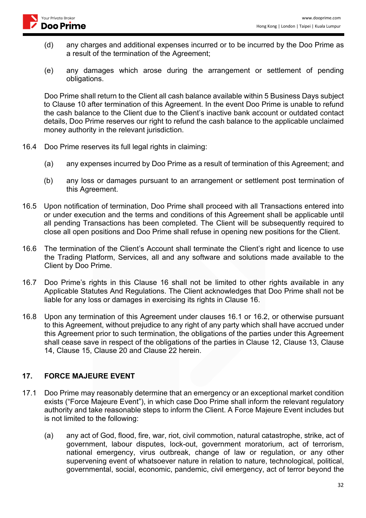- (d) any charges and additional expenses incurred or to be incurred by the Doo Prime as a result of the termination of the Agreement;
- (e) any damages which arose during the arrangement or settlement of pending obligations.

Doo Prime shall return to the Client all cash balance available within 5 Business Days subject to Clause 10 after termination of this Agreement. In the event Doo Prime is unable to refund the cash balance to the Client due to the Client's inactive bank account or outdated contact details, Doo Prime reserves our right to refund the cash balance to the applicable unclaimed money authority in the relevant jurisdiction.

16.4 Doo Prime reserves its full legal rights in claiming:

Your Private Broker Doo Prime

- (a) any expenses incurred by Doo Prime as a result of termination of this Agreement; and
- (b) any loss or damages pursuant to an arrangement or settlement post termination of this Agreement.
- 16.5 Upon notification of termination, Doo Prime shall proceed with all Transactions entered into or under execution and the terms and conditions of this Agreement shall be applicable until all pending Transactions has been completed. The Client will be subsequently required to close all open positions and Doo Prime shall refuse in opening new positions for the Client.
- 16.6 The termination of the Client's Account shall terminate the Client's right and licence to use the Trading Platform, Services, all and any software and solutions made available to the Client by Doo Prime.
- 16.7 Doo Prime's rights in this Clause 16 shall not be limited to other rights available in any Applicable Statutes And Regulations. The Client acknowledges that Doo Prime shall not be liable for any loss or damages in exercising its rights in Clause 16.
- 16.8 Upon any termination of this Agreement under clauses 16.1 or 16.2, or otherwise pursuant to this Agreement, without prejudice to any right of any party which shall have accrued under this Agreement prior to such termination, the obligations of the parties under this Agreement shall cease save in respect of the obligations of the parties in Clause 12, Clause 13, Clause 14, Clause 15, Clause 20 and Clause 22 herein.

#### **17. FORCE MAJEURE EVENT**

- 17.1 Doo Prime may reasonably determine that an emergency or an exceptional market condition exists ("Force Majeure Event"), in which case Doo Prime shall inform the relevant regulatory authority and take reasonable steps to inform the Client. A Force Majeure Event includes but is not limited to the following:
	- (a) any act of God, flood, fire, war, riot, civil commotion, natural catastrophe, strike, act of government, labour disputes, lock-out, government moratorium, act of terrorism, national emergency, virus outbreak, change of law or regulation, or any other supervening event of whatsoever nature in relation to nature, technological, political, governmental, social, economic, pandemic, civil emergency, act of terror beyond the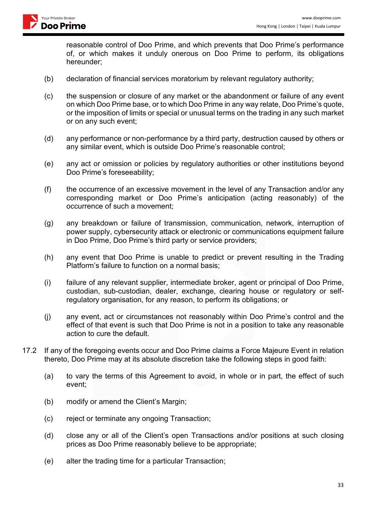

reasonable control of Doo Prime, and which prevents that Doo Prime's performance of, or which makes it unduly onerous on Doo Prime to perform, its obligations hereunder;

- (b) declaration of financial services moratorium by relevant regulatory authority;
- (c) the suspension or closure of any market or the abandonment or failure of any event on which Doo Prime base, or to which Doo Prime in any way relate, Doo Prime's quote, or the imposition of limits or special or unusual terms on the trading in any such market or on any such event;
- (d) any performance or non-performance by a third party, destruction caused by others or any similar event, which is outside Doo Prime's reasonable control;
- (e) any act or omission or policies by regulatory authorities or other institutions beyond Doo Prime's foreseeability;
- (f) the occurrence of an excessive movement in the level of any Transaction and/or any corresponding market or Doo Prime's anticipation (acting reasonably) of the occurrence of such a movement;
- (g) any breakdown or failure of transmission, communication, network, interruption of power supply, cybersecurity attack or electronic or communications equipment failure in Doo Prime, Doo Prime's third party or service providers;
- (h) any event that Doo Prime is unable to predict or prevent resulting in the Trading Platform's failure to function on a normal basis;
- (i) failure of any relevant supplier, intermediate broker, agent or principal of Doo Prime, custodian, sub-custodian, dealer, exchange, clearing house or regulatory or selfregulatory organisation, for any reason, to perform its obligations; or
- (j) any event, act or circumstances not reasonably within Doo Prime's control and the effect of that event is such that Doo Prime is not in a position to take any reasonable action to cure the default.
- 17.2 If any of the foregoing events occur and Doo Prime claims a Force Majeure Event in relation thereto, Doo Prime may at its absolute discretion take the following steps in good faith:
	- (a) to vary the terms of this Agreement to avoid, in whole or in part, the effect of such event;
	- (b) modify or amend the Client's Margin;
	- (c) reject or terminate any ongoing Transaction;
	- (d) close any or all of the Client's open Transactions and/or positions at such closing prices as Doo Prime reasonably believe to be appropriate;
	- (e) alter the trading time for a particular Transaction;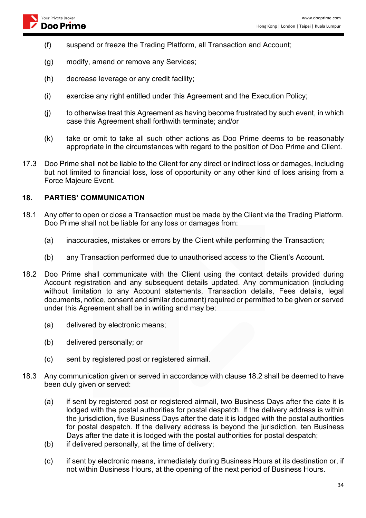

- (f) suspend or freeze the Trading Platform, all Transaction and Account;
- (g) modify, amend or remove any Services;
- (h) decrease leverage or any credit facility;
- (i) exercise any right entitled under this Agreement and the Execution Policy;
- (j) to otherwise treat this Agreement as having become frustrated by such event, in which case this Agreement shall forthwith terminate; and/or
- (k) take or omit to take all such other actions as Doo Prime deems to be reasonably appropriate in the circumstances with regard to the position of Doo Prime and Client.
- 17.3 Doo Prime shall not be liable to the Client for any direct or indirect loss or damages, including but not limited to financial loss, loss of opportunity or any other kind of loss arising from a Force Majeure Event.

#### **18. PARTIES' COMMUNICATION**

- 18.1 Any offer to open or close a Transaction must be made by the Client via the Trading Platform. Doo Prime shall not be liable for any loss or damages from:
	- (a) inaccuracies, mistakes or errors by the Client while performing the Transaction;
	- (b) any Transaction performed due to unauthorised access to the Client's Account.
- 18.2 Doo Prime shall communicate with the Client using the contact details provided during Account registration and any subsequent details updated. Any communication (including without limitation to any Account statements, Transaction details, Fees details, legal documents, notice, consent and similar document) required or permitted to be given or served under this Agreement shall be in writing and may be:
	- (a) delivered by electronic means;
	- (b) delivered personally; or
	- (c) sent by registered post or registered airmail.
- 18.3 Any communication given or served in accordance with clause 18.2 shall be deemed to have been duly given or served:
	- (a) if sent by registered post or registered airmail, two Business Days after the date it is lodged with the postal authorities for postal despatch. If the delivery address is within the jurisdiction, five Business Days after the date it is lodged with the postal authorities for postal despatch. If the delivery address is beyond the jurisdiction, ten Business Days after the date it is lodged with the postal authorities for postal despatch;
	- (b) if delivered personally, at the time of delivery;
	- (c) if sent by electronic means, immediately during Business Hours at its destination or, if not within Business Hours, at the opening of the next period of Business Hours.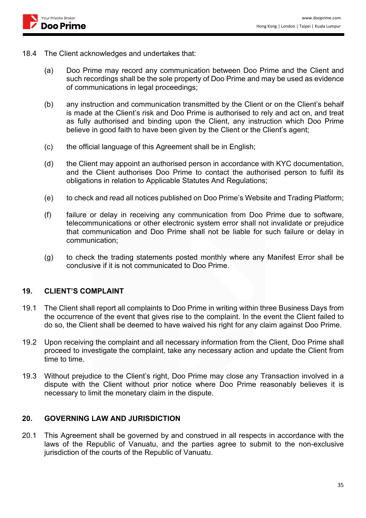18.4 The Client acknowledges and undertakes that:

Your Private Broker Doo Prime

- (a) Doo Prime may record any communication between Doo Prime and the Client and such recordings shall be the sole property of Doo Prime and may be used as evidence of communications in legal proceedings;
- (b) any instruction and communication transmitted by the Client or on the Client's behalf is made at the Client's risk and Doo Prime is authorised to rely and act on, and treat as fully authorised and binding upon the Client, any instruction which Doo Prime believe in good faith to have been given by the Client or the Client's agent;
- (c) the official language of this Agreement shall be in English;
- (d) the Client may appoint an authorised person in accordance with KYC documentation, and the Client authorises Doo Prime to contact the authorised person to fulfil its obligations in relation to Applicable Statutes And Regulations;
- (e) to check and read all notices published on Doo Prime's Website and Trading Platform;
- (f) failure or delay in receiving any communication from Doo Prime due to software, telecommunications or other electronic system error shall not invalidate or prejudice that communication and Doo Prime shall not be liable for such failure or delay in communication;
- (g) to check the trading statements posted monthly where any Manifest Error shall be conclusive if it is not communicated to Doo Prime.

#### **19. CLIENT'S COMPLAINT**

- 19.1 The Client shall report all complaints to Doo Prime in writing within three Business Days from the occurrence of the event that gives rise to the complaint. In the event the Client failed to do so, the Client shall be deemed to have waived his right for any claim against Doo Prime.
- 19.2 Upon receiving the complaint and all necessary information from the Client, Doo Prime shall proceed to investigate the complaint, take any necessary action and update the Client from time to time.
- 19.3 Without prejudice to the Client's right, Doo Prime may close any Transaction involved in a dispute with the Client without prior notice where Doo Prime reasonably believes it is necessary to limit the monetary claim in the dispute.

#### **20. GOVERNING LAW AND JURISDICTION**

20.1 This Agreement shall be governed by and construed in all respects in accordance with the laws of the Republic of Vanuatu, and the parties agree to submit to the non-exclusive jurisdiction of the courts of the Republic of Vanuatu.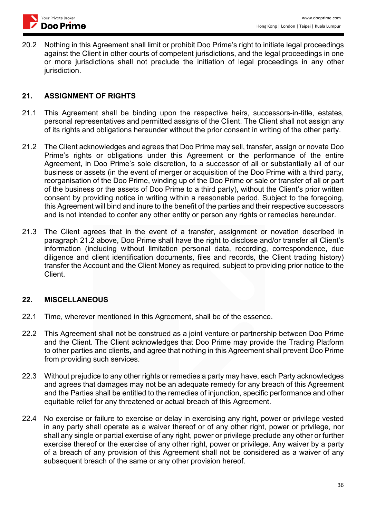

20.2 Nothing in this Agreement shall limit or prohibit Doo Prime's right to initiate legal proceedings against the Client in other courts of competent jurisdictions, and the legal proceedings in one or more jurisdictions shall not preclude the initiation of legal proceedings in any other jurisdiction.

### **21. ASSIGNMENT OF RIGHTS**

- 21.1 This Agreement shall be binding upon the respective heirs, successors-in-title, estates, personal representatives and permitted assigns of the Client. The Client shall not assign any of its rights and obligations hereunder without the prior consent in writing of the other party.
- 21.2 The Client acknowledges and agrees that Doo Prime may sell, transfer, assign or novate Doo Prime's rights or obligations under this Agreement or the performance of the entire Agreement, in Doo Prime's sole discretion, to a successor of all or substantially all of our business or assets (in the event of merger or acquisition of the Doo Prime with a third party, reorganisation of the Doo Prime, winding up of the Doo Prime or sale or transfer of all or part of the business or the assets of Doo Prime to a third party), without the Client's prior written consent by providing notice in writing within a reasonable period. Subject to the foregoing, this Agreement will bind and inure to the benefit of the parties and their respective successors and is not intended to confer any other entity or person any rights or remedies hereunder.
- 21.3 The Client agrees that in the event of a transfer, assignment or novation described in paragraph 21.2 above, Doo Prime shall have the right to disclose and/or transfer all Client's information (including without limitation personal data, recording, correspondence, due diligence and client identification documents, files and records, the Client trading history) transfer the Account and the Client Money as required, subject to providing prior notice to the Client.

### **22. MISCELLANEOUS**

- 22.1 Time, wherever mentioned in this Agreement, shall be of the essence.
- 22.2 This Agreement shall not be construed as a joint venture or partnership between Doo Prime and the Client. The Client acknowledges that Doo Prime may provide the Trading Platform to other parties and clients, and agree that nothing in this Agreement shall prevent Doo Prime from providing such services.
- 22.3 Without prejudice to any other rights or remedies a party may have, each Party acknowledges and agrees that damages may not be an adequate remedy for any breach of this Agreement and the Parties shall be entitled to the remedies of injunction, specific performance and other equitable relief for any threatened or actual breach of this Agreement.
- 22.4 No exercise or failure to exercise or delay in exercising any right, power or privilege vested in any party shall operate as a waiver thereof or of any other right, power or privilege, nor shall any single or partial exercise of any right, power or privilege preclude any other or further exercise thereof or the exercise of any other right, power or privilege. Any waiver by a party of a breach of any provision of this Agreement shall not be considered as a waiver of any subsequent breach of the same or any other provision hereof.